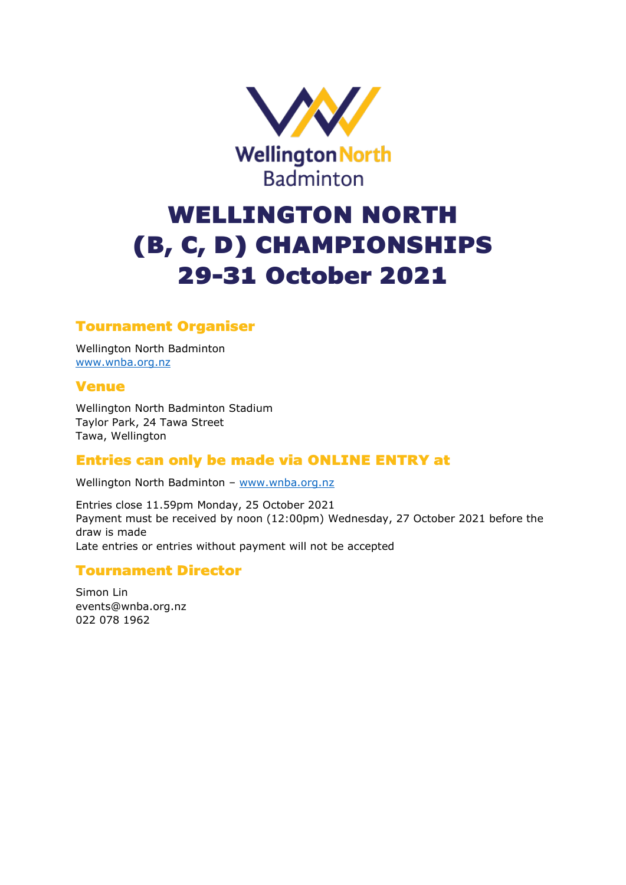

# WELLINGTON NORTH (B, C, D) CHAMPIONSHIPS 29-31 October 2021

## Tournament Organiser

Wellington North Badminton [www.wnba.org.nz](http://www.wnba.org.nz/)

#### Venue

Wellington North Badminton Stadium Taylor Park, 24 Tawa Street Tawa, Wellington

## Entries can only be made via ONLINE ENTRY at

Wellington North Badminton – [www.wnba.org.nz](http://www.wnba.org.nz/)

Entries close 11.59pm Monday, 25 October 2021 Payment must be received by noon (12:00pm) Wednesday, 27 October 2021 before the draw is made Late entries or entries without payment will not be accepted

#### Tournament Director

Simon Lin events@wnba.org.nz 022 078 1962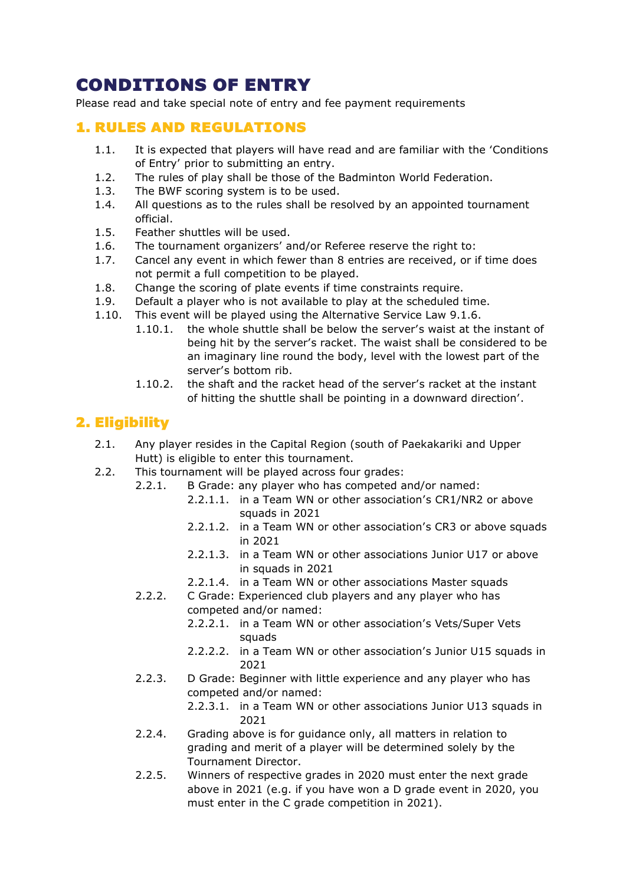# CONDITIONS OF ENTRY

Please read and take special note of entry and fee payment requirements

#### 1. RULES AND REGULATIONS

- 1.1. It is expected that players will have read and are familiar with the 'Conditions of Entry' prior to submitting an entry.
- 1.2. The rules of play shall be those of the Badminton World Federation.
- 1.3. The BWF scoring system is to be used.
- 1.4. All questions as to the rules shall be resolved by an appointed tournament official.
- 1.5. Feather shuttles will be used.
- 1.6. The tournament organizers' and/or Referee reserve the right to:
- 1.7. Cancel any event in which fewer than 8 entries are received, or if time does not permit a full competition to be played.
- 1.8. Change the scoring of plate events if time constraints require.
- 1.9. Default a player who is not available to play at the scheduled time.
- 1.10. This event will be played using the Alternative Service Law 9.1.6.
	- 1.10.1. the whole shuttle shall be below the server's waist at the instant of being hit by the server's racket. The waist shall be considered to be an imaginary line round the body, level with the lowest part of the server's bottom rib.
	- 1.10.2. the shaft and the racket head of the server's racket at the instant of hitting the shuttle shall be pointing in a downward direction'.

# 2. Eligibility

- 2.1. Any player resides in the Capital Region (south of Paekakariki and Upper Hutt) is eligible to enter this tournament.
- 2.2. This tournament will be played across four grades:
	- 2.2.1. B Grade: any player who has competed and/or named:
		- 2.2.1.1. in a Team WN or other association's CR1/NR2 or above squads in 2021
		- 2.2.1.2. in a Team WN or other association's CR3 or above squads in 2021
		- 2.2.1.3. in a Team WN or other associations Junior U17 or above in squads in 2021
		- 2.2.1.4. in a Team WN or other associations Master squads
	- 2.2.2. C Grade: Experienced club players and any player who has competed and/or named:
		- 2.2.2.1. in a Team WN or other association's Vets/Super Vets squads
		- 2.2.2.2. in a Team WN or other association's Junior U15 squads in 2021
	- 2.2.3. D Grade: Beginner with little experience and any player who has competed and/or named:
		- 2.2.3.1. in a Team WN or other associations Junior U13 squads in 2021
	- 2.2.4. Grading above is for guidance only, all matters in relation to grading and merit of a player will be determined solely by the Tournament Director.
	- 2.2.5. Winners of respective grades in 2020 must enter the next grade above in 2021 (e.g. if you have won a D grade event in 2020, you must enter in the C grade competition in 2021).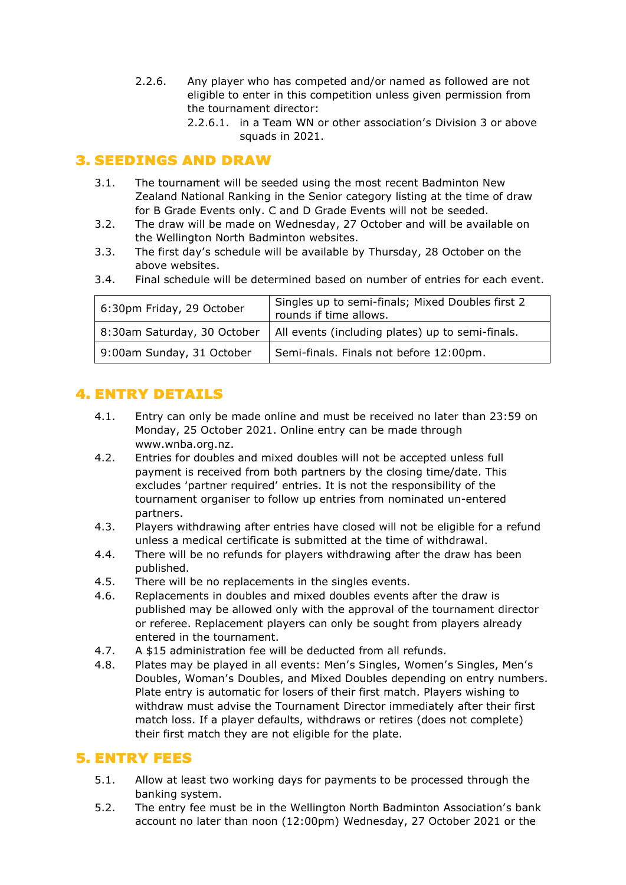- 2.2.6. Any player who has competed and/or named as followed are not eligible to enter in this competition unless given permission from the tournament director:
	- 2.2.6.1. in a Team WN or other association's Division 3 or above squads in 2021.

## 3. SEEDINGS AND DRAW

- 3.1. The tournament will be seeded using the most recent Badminton New Zealand National Ranking in the Senior category listing at the time of draw for B Grade Events only. C and D Grade Events will not be seeded.
- 3.2. The draw will be made on Wednesday, 27 October and will be available on the Wellington North Badminton websites.
- 3.3. The first day's schedule will be available by Thursday, 28 October on the above websites.
- 3.4. Final schedule will be determined based on number of entries for each event.

| 6:30pm Friday, 29 October   | Singles up to semi-finals; Mixed Doubles first 2<br>rounds if time allows. |
|-----------------------------|----------------------------------------------------------------------------|
| 8:30am Saturday, 30 October | All events (including plates) up to semi-finals.                           |
| 9:00am Sunday, 31 October   | Semi-finals. Finals not before 12:00pm.                                    |

# 4. ENTRY DETAILS

- 4.1. Entry can only be made online and must be received no later than 23:59 on Monday, 25 October 2021. Online entry can be made through www.wnba.org.nz.
- 4.2. Entries for doubles and mixed doubles will not be accepted unless full payment is received from both partners by the closing time/date. This excludes 'partner required' entries. It is not the responsibility of the tournament organiser to follow up entries from nominated un-entered partners.
- 4.3. Players withdrawing after entries have closed will not be eligible for a refund unless a medical certificate is submitted at the time of withdrawal.
- 4.4. There will be no refunds for players withdrawing after the draw has been published.
- 4.5. There will be no replacements in the singles events.
- 4.6. Replacements in doubles and mixed doubles events after the draw is published may be allowed only with the approval of the tournament director or referee. Replacement players can only be sought from players already entered in the tournament.
- 4.7. A \$15 administration fee will be deducted from all refunds.
- 4.8. Plates may be played in all events: Men's Singles, Women's Singles, Men's Doubles, Woman's Doubles, and Mixed Doubles depending on entry numbers. Plate entry is automatic for losers of their first match. Players wishing to withdraw must advise the Tournament Director immediately after their first match loss. If a player defaults, withdraws or retires (does not complete) their first match they are not eligible for the plate.

## 5. ENTRY FEES

- 5.1. Allow at least two working days for payments to be processed through the banking system.
- 5.2. The entry fee must be in the Wellington North Badminton Association's bank account no later than noon (12:00pm) Wednesday, 27 October 2021 or the